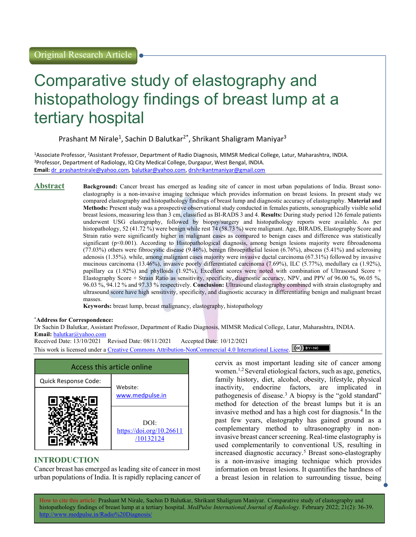# Comparative study of elastography and histopathology findings of breast lump at a tertiary hospital

Prashant M Nirale<sup>1</sup>, Sachin D Balutkar<sup>2\*</sup>, Shrikant Shaligram Maniyar<sup>3</sup>

<sup>1</sup>Associate Professor, <sup>2</sup>Assistant Professor, Department of Radio Diagnosis, MIMSR Medical College, Latur, Maharashtra, INDIA. <sup>3</sup>Professor, Department of Radiology, IQ City Medical College, Durgapur, West Bengal, INDIA. Email: dr\_prashantnirale@yahoo.com, balutkar@yahoo.com, drshrikantmaniyar@gmail.com

Abstract Background: Cancer breast has emerged as leading site of cancer in most urban populations of India. Breast sonoelastography is a non-invasive imaging technique which provides information on breast lesions. In present study we compared elastography and histopathology findings of breast lump and diagnostic accuracy of elastography. **Material and** Methods: Present study was a prospective observational study conducted in females patients, sonographically visible solid breast lesions, measuring less than 3 cm, classified as BI-RADS 3 and 4. Results: During study period 126 female patients underwent USG elastography, followed by biopsy/surgery and histopathology reports were available. As per histopathology, 52 (41.72 %) were benign while rest 74 (58.73 %) were malignant. Age, BIRADS, Elastography Score and Strain ratio were significantly higher in malignant cases as compared to benign cases and difference was statistically significant (p<0.001). According to Histopathological diagnosis, among benign lesions majority were fibroadenoma (77.03%) others were fibrocystic disease (9.46%), benign fibroepithelial lesion (6.76%), abscess (5.41%) and sclerosing adenosis (1.35%). while, among malignant cases majority were invasive ductal carcinoma (67.31%) followed by invasive mucinous carcinoma (13.46%), invasive poorly differentiated carcinoma (7.69%), ILC (5.77%), medullary ca (1.92%), papillary ca (1.92%) and phylloids (1.92%), Excellent scores were noted with combination of Ultrasound Score + Elastography Score + Strain Ratio as sensitivity, specificity, diagnostic accuracy, NPV, and PPV of 96.00 %, 96.05 %, 96.03 %, 94.12 % and 97.33 % respectively. Conclusion: Ultrasound elastography combined with strain elastography and ultrasound score have high sensitivity, specificity, and diagnostic accuracy in differentiating benign and malignant breast masses.

Keywords: breast lump, breast malignancy, elastography, histopathology

#### \*Address for Correspondence:

Dr Sachin D Balutkar, Assistant Professor, Department of Radio Diagnosis, MIMSR Medical College, Latur, Maharashtra, INDIA. Email: balutkar@yahoo.com

Received Date: 13/10/2021 Revised Date: 08/11/2021 Accepted Date: 10/12/2021 This work is licensed under a Creative Commons Attribution-NonCommercial 4.0 International License. (CC) BY-NO

| Access this article online |                                               |  |
|----------------------------|-----------------------------------------------|--|
| Quick Response Code:       | Website:                                      |  |
|                            | www.medpulse.in                               |  |
|                            | DOI:<br>https://doi.org/10.26611<br>/10132124 |  |

# INTRODUCTION

Cancer breast has emerged as leading site of cancer in most urban populations of India. It is rapidly replacing cancer of cervix as most important leading site of cancer among women.1,2 Several etiological factors, such as age, genetics, family history, diet, alcohol, obesity, lifestyle, physical inactivity, endocrine factors, are implicated in pathogenesis of disease.<sup>3</sup> A biopsy is the "gold standard" method for detection of the breast lumps but it is an invasive method and has a high cost for diagnosis.<sup>4</sup> In the past few years, elastography has gained ground as a complementary method to ultrasonography in noninvasive breast cancer screening. Real-time elastography is used complementarily to conventional US, resulting in increased diagnostic accuracy.<sup>5</sup> Breast sono-elastography is a non-invasive imaging technique which provides information on breast lesions. It quantifies the hardness of a breast lesion in relation to surrounding tissue, being

How to cite this article: Prashant M Nirale, Sachin D Balutkar, Shrikant Shaligram Maniyar. Comparative study of elastography and histopathology findings of breast lump at a tertiary hospital. MedPulse International Journal of Radiology. February 2022; 21(2): 36-39.  $m$ lse in/Radio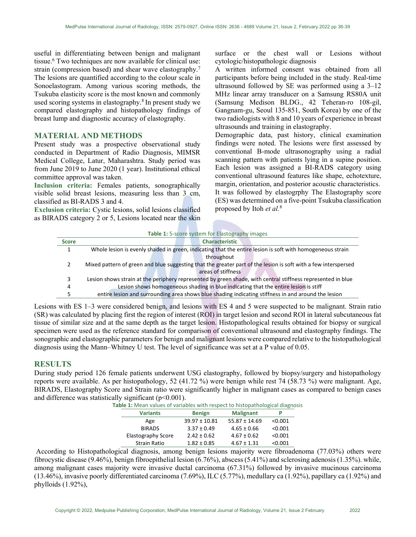useful in differentiating between benign and malignant tissue.<sup>6</sup> Two techniques are now available for clinical use: strain (compression based) and shear wave elastography.<sup>7</sup> The lesions are quantified according to the colour scale in Sonoelastogram. Among various scoring methods, the Tsukuba elasticity score is the most known and commonly used scoring systems in elastography.<sup>8</sup> In present study we compared elastography and histopathology findings of breast lump and diagnostic accuracy of elastography.

### MATERIAL AND METHODS

Present study was a prospective observational study conducted in Department of Radio Diagnosis, MIMSR Medical College, Latur, Maharashtra. Study period was from June 2019 to June 2020 (1 year). Institutional ethical committee approval was taken.

Inclusion criteria: Females patients, sonographically visible solid breast lesions, measuring less than 3 cm, classified as BI‑RADS 3 and 4.

Exclusion criteria: Cystic lesions, solid lesions classified as BIRADS category 2 or 5, Lesions located near the skin surface or the chest wall or Lesions without cytologic/histopathologic diagnosis

A written informed consent was obtained from all participants before being included in the study. Real-time ultrasound followed by SE was performed using a 3–12 MHz linear array transducer on a Samsung RS80A unit (Samsung Medison BLDG., 42 Teheran‑ro 108‑gil, Gangnam‑gu, Seoul 135‑851, South Korea) by one of the two radiologists with 8 and 10 years of experience in breast ultrasounds and training in elastography.

Demographic data, past history, clinical examination findings were noted. The lesions were first assessed by conventional B‑mode ultrasonography using a radial scanning pattern with patients lying in a supine position. Each lesion was assigned a BI‑RADS category using conventional ultrasound features like shape, echotexture, margin, orientation, and posterior acoustic characteristics. It was followed by elastogrphy The Elastography score (ES) was determined on a five‑point Tsukuba classification proposed by Itoh et al.<sup>8</sup>

| Table 1: 5-score system for Elastography images |                                                                                                                |  |
|-------------------------------------------------|----------------------------------------------------------------------------------------------------------------|--|
| <b>Score</b>                                    | <b>Characteristic</b>                                                                                          |  |
| 1                                               | Whole lesion is evenly shaded in green, indicating that the entire lesion is soft with homogeneous strain      |  |
|                                                 | throughout                                                                                                     |  |
| $\mathcal{P}$                                   | Mixed pattern of green and blue suggesting that the greater part of the lesion is soft with a few interspersed |  |
|                                                 | areas of stiffness                                                                                             |  |
| 3                                               | Lesion shows strain at the periphery represented by green shade, with central stiffness represented in blue    |  |
| 4                                               | Lesion shows homogeneous shading in blue indicating that the entire lesion is stiff                            |  |
| 5                                               | entire lesion and surrounding area shows blue shading indicating stiffness in and around the lesion            |  |

Lesions with ES 1–3 were considered benign, and lesions with ES 4 and 5 were suspected to be malignant. Strain ratio (SR) was calculated by placing first the region of interest (ROI) in target lesion and second ROI in lateral subcutaneous fat tissue of similar size and at the same depth as the target lesion. Histopathological results obtained for biopsy or surgical specimen were used as the reference standard for comparison of conventional ultrasound and elastography findings. The sonographic and elastographic parameters for benign and malignant lesions were compared relative to the histopathological diagnosis using the Mann–Whitney U test. The level of significance was set at a P value of 0.05.

#### RESULTS

During study period 126 female patients underwent USG elastography, followed by biopsy/surgery and histopathology reports were available. As per histopathology, 52 (41.72 %) were benign while rest 74 (58.73 %) were malignant. Age, BIRADS, Elastography Score and Strain ratio were significantly higher in malignant cases as compared to benign cases and difference was statistically significant  $(p<0.001)$ .

Table 1: Mean values of variables with respect to histopathological diagnosis

| <b>Variants</b>     | <b>Benign</b>     | <b>Malignant</b>  | р       |
|---------------------|-------------------|-------------------|---------|
| Age                 | $39.97 \pm 10.81$ | $55.87 \pm 14.69$ | < 0.001 |
| <b>BIRADS</b>       | $3.37 \pm 0.49$   | $4.65 \pm 0.66$   | < 0.001 |
| Elastography Score  | $2.42 \pm 0.62$   | $4.67 \pm 0.62$   | < 0.001 |
| <b>Strain Ratio</b> | $1.82 \pm 0.85$   | $4.67 \pm 1.31$   | < 0.001 |

 According to Histopathological diagnosis, among benign lesions majority were fibroadenoma (77.03%) others were fibrocystic disease (9.46%), benign fibroepithelial lesion (6.76%), abscess (5.41%) and sclerosing adenosis (1.35%). while, among malignant cases majority were invasive ductal carcinoma (67.31%) followed by invasive mucinous carcinoma (13.46%), invasive poorly differentiated carcinoma (7.69%), ILC (5.77%), medullary ca (1.92%), papillary ca (1.92%) and phylloids (1.92%),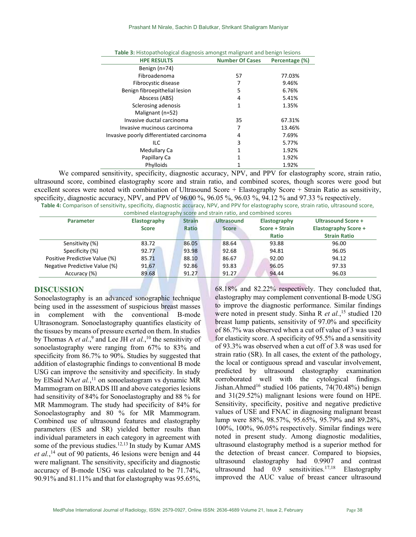| <b>Table 3.</b> Histopathological diagnosis amongst manghant and benign resions |                        |                |  |
|---------------------------------------------------------------------------------|------------------------|----------------|--|
| <b>HPE RESULTS</b>                                                              | <b>Number Of Cases</b> | Percentage (%) |  |
| Benign $(n=74)$                                                                 |                        |                |  |
| Fibroadenoma                                                                    | 57                     | 77.03%         |  |
| Fibrocystic disease                                                             | 7                      | 9.46%          |  |
| Benign fibroepithelial lesion                                                   | 5                      | 6.76%          |  |
| Abscess (ABS)                                                                   | 4                      | 5.41%          |  |
| Sclerosing adenosis                                                             | 1                      | 1.35%          |  |
| Malignant (n=52)                                                                |                        |                |  |
| Invasive ductal carcinoma                                                       | 35                     | 67.31%         |  |
| Invasive mucinous carcinoma                                                     | 7                      | 13.46%         |  |
| Invasive poorly differentiated carcinoma                                        | 4                      | 7.69%          |  |
| ILC                                                                             | 3                      | 5.77%          |  |
| Medullary Ca                                                                    | 1                      | 1.92%          |  |
| Papillary Ca                                                                    | $\mathbf{1}$           | 1.92%          |  |
| Phylloids                                                                       |                        | 1.92%          |  |

| <b>Table 3:</b> Histopathological diagnosis amongst malignant and benign lesions |  |  |
|----------------------------------------------------------------------------------|--|--|
|                                                                                  |  |  |

We compared sensitivity, specificity, diagnostic accuracy, NPV, and PPV for elastography score, strain ratio, ultrasound score, combined elastography score and strain ratio, and combined scores, though scores were good but excellent scores were noted with combination of Ultrasound Score + Elastography Score + Strain Ratio as sensitivity, specificity, diagnostic accuracy, NPV, and PPV of 96.00 %, 96.05 %, 96.03 %, 94.12 % and 97.33 % respectively. Table 4: Comparison of sensitivity, specificity, diagnostic accuracy, NPV, and PPV for elastography score, strain ratio, ultrasound score,

combined elastography score and strain ratio, and combined scores

| <b>Parameter</b>              | Elastography | <b>Strain</b> | <b>Ultrasound</b> | Elastography   | Ultrasound Score +          |
|-------------------------------|--------------|---------------|-------------------|----------------|-----------------------------|
|                               | <b>Score</b> | <b>Ratio</b>  | <b>Score</b>      | Score + Strain | <b>Elastography Score +</b> |
|                               |              |               |                   | <b>Ratio</b>   | <b>Strain Ratio</b>         |
| Sensitivity (%)               | 83.72        | 86.05         | 88.64             | 93.88          | 96.00                       |
| Specificity (%)               | 92.77        | 93.98         | 92.68             | 94.81          | 96.05                       |
| Positive Predictive Value (%) | 85.71        | 88.10         | 86.67             | 92.00          | 94.12                       |
| Negative Predictive Value (%) | 91.67        | 92.86         | 93.83             | 96.05          | 97.33                       |
| Accuracy (%)                  | 89.68        | 91.27         | 91.27             | 94.44          | 96.03                       |

## DISCUSSION

Sonoelastography is an advanced sonographic technique being used in the assessment of suspicious breast masses in complement with the conventional B-mode Ultrasonogram. Sonoelastography quantifies elasticity of the tissues by means of pressure exerted on them. In studies by Thomas A *et al.*,<sup>9</sup> and Lee JH *et al.*,<sup>10</sup> the sensitivity of sonoelastography were ranging from 67% to 83% and specificity from 86.7% to 90%. Studies by suggested that addition of elastographic findings to conventional B mode USG can improve the sensitivity and specificity. In study by ElSaid NAet al.,<sup>11</sup> on sonoelastogram vs dynamic MR Mammogram on BIRADS III and above categories lesions had sensitivity of 84% for Sonoelastography and 88 % for MR Mammogram. The study had specificity of 84% for Sonoelastography and 80 % for MR Mammogram. Combined use of ultrasound features and elastography parameters (ES and SR) yielded better results than individual parameters in each category in agreement with some of the previous studies.<sup>12,13</sup> In study by Kumar AMS et al.,<sup>14</sup> out of 90 patients, 46 lesions were benign and 44 were malignant. The sensitivity, specificity and diagnostic accuracy of B-mode USG was calculated to be 71.74%, 90.91% and 81.11% and that for elastography was 95.65%,

68.18% and 82.22% respectively. They concluded that, elastography may complement conventional B-mode USG to improve the diagnostic performance. Similar findings were noted in present study. Sinha R et al.,<sup>15</sup> studied 120 breast lump patients, sensitivity of 97.0% and specificity of 86.7% was observed when a cut off value of 3 was used for elasticity score. A specificity of 95.5% and a sensitivity of 93.3% was observed when a cut off of 3.8 was used for strain ratio (SR). In all cases, the extent of the pathology, the local or contiguous spread and vascular involvement, predicted by ultrasound elastography examination corroborated well with the cytological findings. Jishan.Ahmed<sup>16</sup> studied 106 patients, 74(70.48%) benign and 31(29.52%) malignant lesions were found on HPE. Sensitivity, specificity, positive and negative predictive values of USE and FNAC in diagnosing malignant breast lump were 88%, 98.57%, 95.65%, 95.79% and 89.28%, 100%, 100%, 96.05% respectively. Similar findings were noted in present study. Among diagnostic modalities, ultrasound elastography method is a superior method for the detection of breast cancer. Compared to biopsies, ultrasound elastography had 0.9907 and contrast ultrasound had  $0.9$  sensitivities.<sup>17,18</sup> Elastography improved the AUC value of breast cancer ultrasound